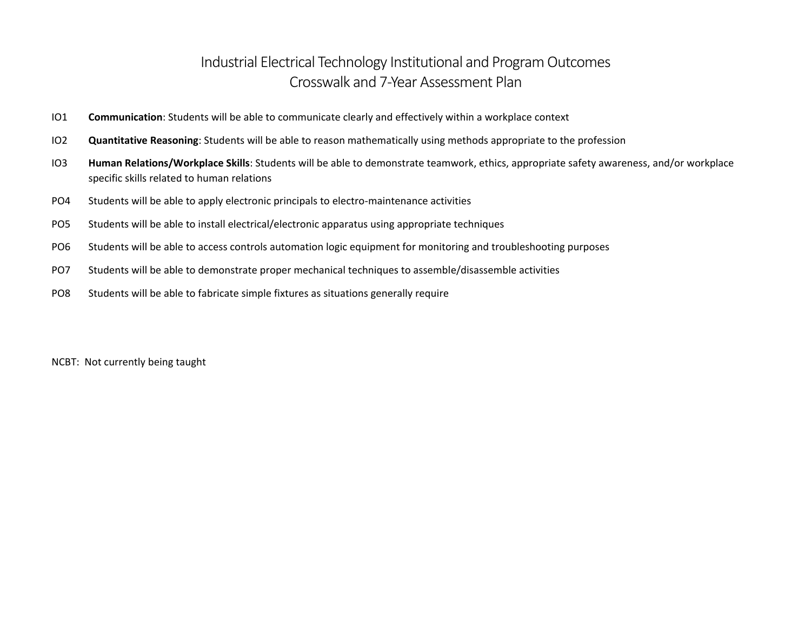## Industrial Electrical Technology Institutional and Program Outcomes Crosswalk and 7-Year Assessment Plan

- IO1 **Communication**: Students will be able to communicate clearly and effectively within a workplace context
- IO2 **Quantitative Reasoning**: Students will be able to reason mathematically using methods appropriate to the profession
- IO3 **Human Relations/Workplace Skills**: Students will be able to demonstrate teamwork, ethics, appropriate safety awareness, and/or workplace specific skills related to human relations
- PO4 Students will be able to apply electronic principals to electro-maintenance activities
- PO5 Students will be able to install electrical/electronic apparatus using appropriate techniques
- PO6 Students will be able to access controls automation logic equipment for monitoring and troubleshooting purposes
- PO7 Students will be able to demonstrate proper mechanical techniques to assemble/disassemble activities
- PO8 Students will be able to fabricate simple fixtures as situations generally require

NCBT: Not currently being taught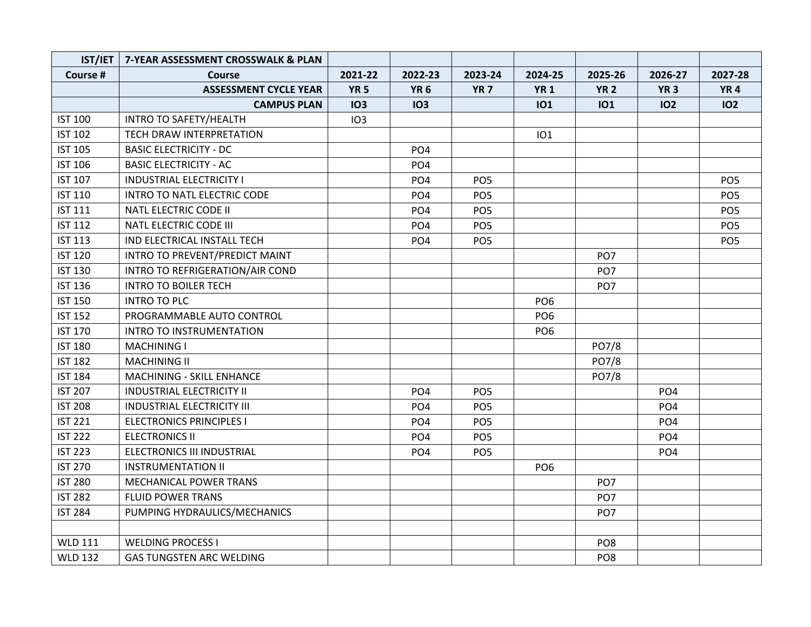| IST/IET        | 7-YEAR ASSESSMENT CROSSWALK & PLAN |             |                 |                 |                 |                 |                 |                 |
|----------------|------------------------------------|-------------|-----------------|-----------------|-----------------|-----------------|-----------------|-----------------|
| Course #       | Course                             | 2021-22     | 2022-23         | 2023-24         | 2024-25         | 2025-26         | 2026-27         | 2027-28         |
|                | <b>ASSESSMENT CYCLE YEAR</b>       | <b>YR 5</b> | <b>YR 6</b>     | YR <sub>7</sub> | <b>YR1</b>      | <b>YR 2</b>     | <b>YR 3</b>     | <b>YR4</b>      |
|                | <b>CAMPUS PLAN</b>                 | <b>IO3</b>  | <b>IO3</b>      |                 | <b>IO1</b>      | <b>IO1</b>      | 102             | 102             |
| <b>IST 100</b> | INTRO TO SAFETY/HEALTH             | IO3         |                 |                 |                 |                 |                 |                 |
| <b>IST 102</b> | TECH DRAW INTERPRETATION           |             |                 |                 | <b>IO1</b>      |                 |                 |                 |
| <b>IST 105</b> | <b>BASIC ELECTRICITY - DC</b>      |             | PO <sub>4</sub> |                 |                 |                 |                 |                 |
| <b>IST 106</b> | <b>BASIC ELECTRICITY - AC</b>      |             | PO <sub>4</sub> |                 |                 |                 |                 |                 |
| <b>IST 107</b> | <b>INDUSTRIAL ELECTRICITY I</b>    |             | PO <sub>4</sub> | PO <sub>5</sub> |                 |                 |                 | PO <sub>5</sub> |
| <b>IST 110</b> | <b>INTRO TO NATL ELECTRIC CODE</b> |             | PO <sub>4</sub> | PO <sub>5</sub> |                 |                 |                 | PO <sub>5</sub> |
| <b>IST 111</b> | NATL ELECTRIC CODE II              |             | PO <sub>4</sub> | PO <sub>5</sub> |                 |                 |                 | PO <sub>5</sub> |
| <b>IST 112</b> | NATL ELECTRIC CODE III             |             | PO <sub>4</sub> | PO <sub>5</sub> |                 |                 |                 | PO <sub>5</sub> |
| <b>IST 113</b> | IND ELECTRICAL INSTALL TECH        |             | PO <sub>4</sub> | PO <sub>5</sub> |                 |                 |                 | PO <sub>5</sub> |
| <b>IST 120</b> | INTRO TO PREVENT/PREDICT MAINT     |             |                 |                 |                 | PO <sub>7</sub> |                 |                 |
| <b>IST 130</b> | INTRO TO REFRIGERATION/AIR COND    |             |                 |                 |                 | PO <sub>7</sub> |                 |                 |
| <b>IST 136</b> | <b>INTRO TO BOILER TECH</b>        |             |                 |                 |                 | PO <sub>7</sub> |                 |                 |
| <b>IST 150</b> | <b>INTRO TO PLC</b>                |             |                 |                 | PO <sub>6</sub> |                 |                 |                 |
| <b>IST 152</b> | PROGRAMMABLE AUTO CONTROL          |             |                 |                 | PO <sub>6</sub> |                 |                 |                 |
| <b>IST 170</b> | <b>INTRO TO INSTRUMENTATION</b>    |             |                 |                 | PO <sub>6</sub> |                 |                 |                 |
| <b>IST 180</b> | <b>MACHINING I</b>                 |             |                 |                 |                 | PO7/8           |                 |                 |
| <b>IST 182</b> | <b>MACHINING II</b>                |             |                 |                 |                 | PO7/8           |                 |                 |
| <b>IST 184</b> | MACHINING - SKILL ENHANCE          |             |                 |                 |                 | PO7/8           |                 |                 |
| <b>IST 207</b> | <b>INDUSTRIAL ELECTRICITY II</b>   |             | PO <sub>4</sub> | PO <sub>5</sub> |                 |                 | PO <sub>4</sub> |                 |
| <b>IST 208</b> | <b>INDUSTRIAL ELECTRICITY III</b>  |             | PO <sub>4</sub> | PO <sub>5</sub> |                 |                 | PO <sub>4</sub> |                 |
| <b>IST 221</b> | <b>ELECTRONICS PRINCIPLES I</b>    |             | PO <sub>4</sub> | PO <sub>5</sub> |                 |                 | PO <sub>4</sub> |                 |
| <b>IST 222</b> | <b>ELECTRONICS II</b>              |             | PO <sub>4</sub> | PO <sub>5</sub> |                 |                 | PO <sub>4</sub> |                 |
| <b>IST 223</b> | ELECTRONICS III INDUSTRIAL         |             | PO <sub>4</sub> | PO <sub>5</sub> |                 |                 | PO <sub>4</sub> |                 |
| <b>IST 270</b> | <b>INSTRUMENTATION II</b>          |             |                 |                 | PO <sub>6</sub> |                 |                 |                 |
| <b>IST 280</b> | <b>MECHANICAL POWER TRANS</b>      |             |                 |                 |                 | PO <sub>7</sub> |                 |                 |
| <b>IST 282</b> | <b>FLUID POWER TRANS</b>           |             |                 |                 |                 | PO <sub>7</sub> |                 |                 |
| <b>IST 284</b> | PUMPING HYDRAULICS/MECHANICS       |             |                 |                 |                 | PO <sub>7</sub> |                 |                 |
|                |                                    |             |                 |                 |                 |                 |                 |                 |
| <b>WLD 111</b> | <b>WELDING PROCESS I</b>           |             |                 |                 |                 | PO <sub>8</sub> |                 |                 |
| <b>WLD 132</b> | <b>GAS TUNGSTEN ARC WELDING</b>    |             |                 |                 |                 | PO <sub>8</sub> |                 |                 |